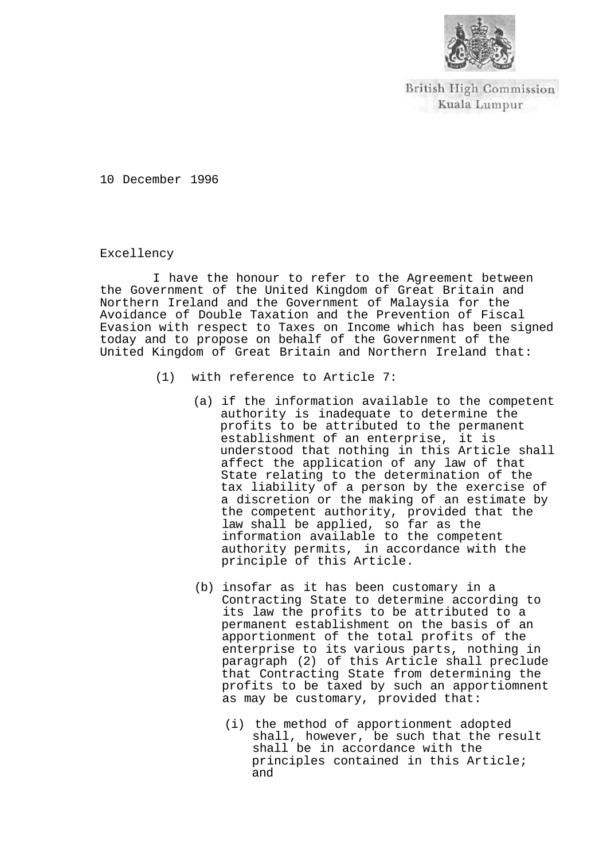

**British High Commission** Kuala Lumpur

10 December 1996

Excellency

I have the honour to refer to the Agreement between the Government of the United Kingdom of Great Britain and Northern Ireland and the Government of Malaysia for the Avoidance of Double Taxation and the Prevention of Fiscal Evasion with respect to Taxes on Income which has been signed today and to propose on behalf of the Government of the United Kingdom of Great Britain and Northern Ireland that:

- (1) with reference to Article 7:
	- (a) if the information available to the competent authority is inadequate to determine the profits to be attributed to the permanent establishment of an enterprise, it is understood that nothing in this Article shall affect the application of any law of that State relating to the determination of the tax liability of a person by the exercise of a discretion or the making of an estimate by the competent authority, provided that the law shall be applied, so far as the information available to the competent authority permits, in accordance with the principle of this Article.
	- (b) insofar as it has been customary in a Contracting State to determine according to its law the profits to be attributed to a permanent establishment on the basis of an apportionment of the total profits of the enterprise to its various parts, nothing in paragraph (2) of this Article shall preclude that Contracting State from determining the profits to be taxed by such an apportiomnent as may be customary, provided that:
		- (i) the method of apportionment adopted shall, however, be such that the result shall be in accordance with the principles contained in this Article; and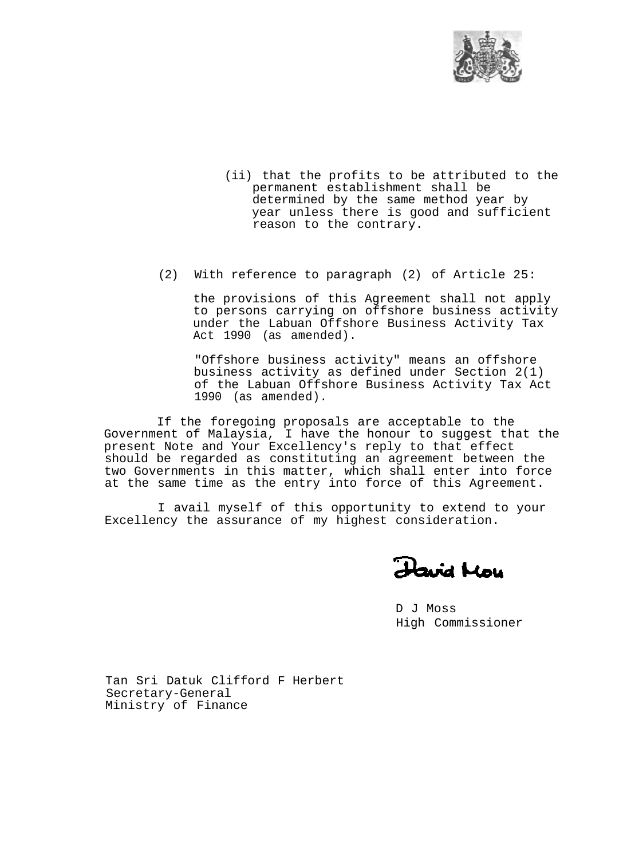

- (ii) that the profits to be attributed to the permanent establishment shall be determined by the same method year by year unless there is good and sufficient reason to the contrary.
- (2) With reference to paragraph (2) of Article 25:

the provisions of this Agreement shall not apply to persons carrying on offshore business activity under the Labuan Offshore Business Activity Tax Act 1990 (as amended).

"Offshore business activity" means an offshore business activity as defined under Section 2(1) of the Labuan Offshore Business Activity Tax Act 1990 (as amended).

If the foregoing proposals are acceptable to the Government of Malaysia, I have the honour to suggest that the present Note and Your Excellency's reply to that effect should be regarded as constituting an agreement between the two Governments in this matter, which shall enter into force at the same time as the entry into force of this Agreement.

I avail myself of this opportunity to extend to your Excellency the assurance of my highest consideration.

Favid Hou

D J Moss High Commissioner

Tan Sri Datuk Clifford F Herbert Secretary-General Ministry of Finance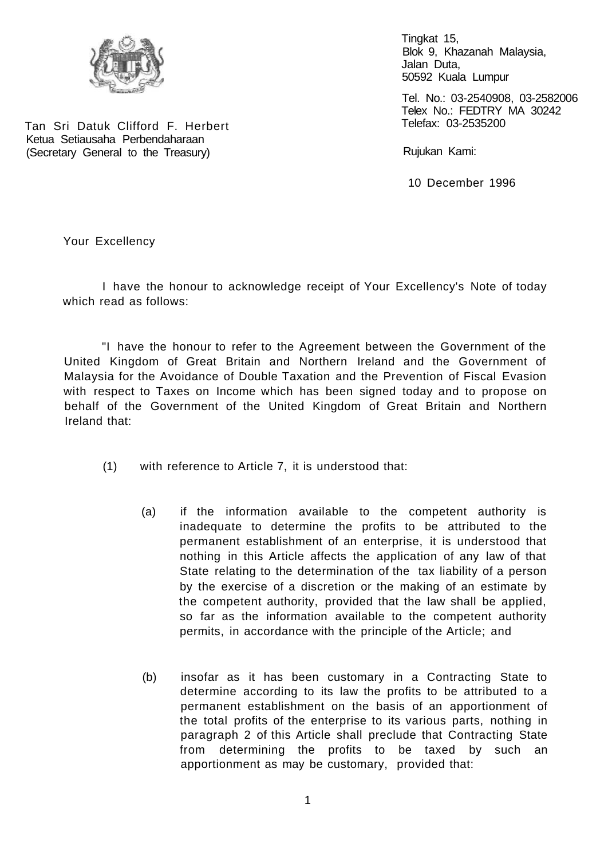

Tan Sri Datuk Clifford F. Herbert Ketua Setiausaha Perbendaharaan (Secretary General to the Treasury)

Tingkat 15, Blok 9, Khazanah Malaysia, Jalan Duta, 50592 Kuala Lumpur

Tel. No.: 03-2540908, 03-2582006 Telex No.: FEDTRY MA 30242 Telefax: 03-2535200

Rujukan Kami:

10 December 1996

Your Excellency

I have the honour to acknowledge receipt of Your Excellency's Note of today which read as follows:

"I have the honour to refer to the Agreement between the Government of the United Kingdom of Great Britain and Northern Ireland and the Government of Malaysia for the Avoidance of Double Taxation and the Prevention of Fiscal Evasion with respect to Taxes on Income which has been signed today and to propose on behalf of the Government of the United Kingdom of Great Britain and Northern Ireland that:

- (1) with reference to Article 7, it is understood that:
	- (a) if the information available to the competent authority is inadequate to determine the profits to be attributed to the permanent establishment of an enterprise, it is understood that nothing in this Article affects the application of any law of that State relating to the determination of the tax liability of a person by the exercise of a discretion or the making of an estimate by the competent authority, provided that the law shall be applied, so far as the information available to the competent authority permits, in accordance with the principle of the Article; and
	- (b) insofar as it has been customary in a Contracting State to determine according to its law the profits to be attributed to a permanent establishment on the basis of an apportionment of the total profits of the enterprise to its various parts, nothing in paragraph 2 of this Article shall preclude that Contracting State from determining the profits to be taxed by such an apportionment as may be customary, provided that: